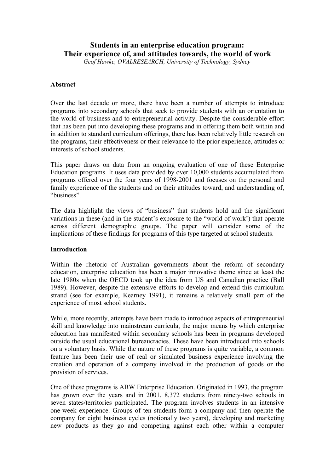# **Students in an enterprise education program: Their experience of, and attitudes towards, the world of work**

*Geof Hawke, OVALRESEARCH, University of Technology, Sydney*

# **Abstract**

Over the last decade or more, there have been a number of attempts to introduce programs into secondary schools that seek to provide students with an orientation to the world of business and to entrepreneurial activity. Despite the considerable effort that has been put into developing these programs and in offering them both within and in addition to standard curriculum offerings, there has been relatively little research on the programs, their effectiveness or their relevance to the prior experience, attitudes or interests of school students.

This paper draws on data from an ongoing evaluation of one of these Enterprise Education programs. It uses data provided by over 10,000 students accumulated from programs offered over the four years of 1998-2001 and focuses on the personal and family experience of the students and on their attitudes toward, and understanding of, "business".

The data highlight the views of "business" that students hold and the significant variations in these (and in the student's exposure to the "world of work') that operate across different demographic groups. The paper will consider some of the implications of these findings for programs of this type targeted at school students.

# **Introduction**

Within the rhetoric of Australian governments about the reform of secondary education, enterprise education has been a major innovative theme since at least the late 1980s when the OECD took up the idea from US and Canadian practice (Ball 1989). However, despite the extensive efforts to develop and extend this curriculum strand (see for example, Kearney 1991), it remains a relatively small part of the experience of most school students.

While, more recently, attempts have been made to introduce aspects of entrepreneurial skill and knowledge into mainstream curricula, the major means by which enterprise education has manifested within secondary schools has been in programs developed outside the usual educational bureaucracies. These have been introduced into schools on a voluntary basis. While the nature of these programs is quite variable, a common feature has been their use of real or simulated business experience involving the creation and operation of a company involved in the production of goods or the provision of services.

One of these programs is ABW Enterprise Education. Originated in 1993, the program has grown over the years and in 2001, 8,372 students from ninety-two schools in seven states/territories participated. The program involves students in an intensive one-week experience. Groups of ten students form a company and then operate the company for eight business cycles (notionally two years), developing and marketing new products as they go and competing against each other within a computer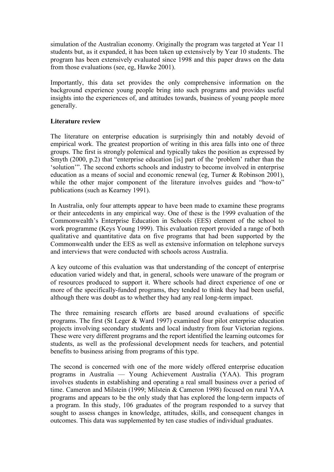simulation of the Australian economy. Originally the program was targeted at Year 11 students but, as it expanded, it has been taken up extensively by Year 10 students. The program has been extensively evaluated since 1998 and this paper draws on the data from those evaluations (see, eg, Hawke 2001).

Importantly, this data set provides the only comprehensive information on the background experience young people bring into such programs and provides useful insights into the experiences of, and attitudes towards, business of young people more generally.

### **Literature review**

The literature on enterprise education is surprisingly thin and notably devoid of empirical work. The greatest proportion of writing in this area falls into one of three groups. The first is strongly polemical and typically takes the position as expressed by Smyth (2000, p.2) that "enterprise education [is] part of the 'problem' rather than the 'solution'". The second exhorts schools and industry to become involved in enterprise education as a means of social and economic renewal (eg, Turner & Robinson 2001), while the other major component of the literature involves guides and "how-to" publications (such as Kearney 1991).

In Australia, only four attempts appear to have been made to examine these programs or their antecedents in any empirical way. One of these is the 1999 evaluation of the Commonwealth's Enterprise Education in Schools (EES) element of the school to work programme (Keys Young 1999). This evaluation report provided a range of both qualitative and quantitative data on five programs that had been supported by the Commonwealth under the EES as well as extensive information on telephone surveys and interviews that were conducted with schools across Australia.

A key outcome of this evaluation was that understanding of the concept of enterprise education varied widely and that, in general, schools were unaware of the program or of resources produced to support it. Where schools had direct experience of one or more of the specifically-funded programs, they tended to think they had been useful, although there was doubt as to whether they had any real long-term impact.

The three remaining research efforts are based around evaluations of specific programs. The first (St Leger & Ward 1997) examined four pilot enterprise education projects involving secondary students and local industry from four Victorian regions. These were very different programs and the report identified the learning outcomes for students, as well as the professional development needs for teachers, and potential benefits to business arising from programs of this type.

The second is concerned with one of the more widely offered enterprise education programs in Australia — Young Achievement Australia (YAA). This program involves students in establishing and operating a real small business over a period of time. Cameron and Milstein (1999; Milstein & Cameron 1998) focused on rural YAA programs and appears to be the only study that has explored the long-term impacts of a program. In this study, 106 graduates of the program responded to a survey that sought to assess changes in knowledge, attitudes, skills, and consequent changes in outcomes. This data was supplemented by ten case studies of individual graduates.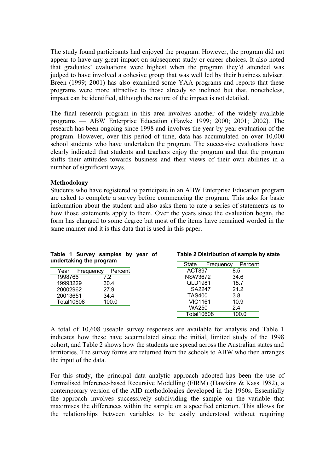The study found participants had enjoyed the program. However, the program did not appear to have any great impact on subsequent study or career choices. It also noted that graduates' evaluations were highest when the program they'd attended was judged to have involved a cohesive group that was well led by their business adviser. Breen (1999; 2001) has also examined some YAA programs and reports that these programs were more attractive to those already so inclined but that, nonetheless, impact can be identified, although the nature of the impact is not detailed.

The final research program in this area involves another of the widely available programs — ABW Enterprise Education (Hawke 1999; 2000; 2001; 2002). The research has been ongoing since 1998 and involves the year-by-year evaluation of the program. However, over this period of time, data has accumulated on over 10,000 school students who have undertaken the program. The successive evaluations have clearly indicated that students and teachers enjoy the program and that the program shifts their attitudes towards business and their views of their own abilities in a number of significant ways.

### **Methodology**

Students who have registered to participate in an ABW Enterprise Education program are asked to complete a survey before commencing the program. This asks for basic information about the student and also asks them to rate a series of statements as to how those statements apply to them. Over the years since the evaluation began, the form has changed to some degree but most of the items have remained worded in the same manner and it is this data that is used in this paper.

| Table 1 Survey samples by year of<br>undertaking the program |  | Table 2 Distribution of sample by state |         |
|--------------------------------------------------------------|--|-----------------------------------------|---------|
|                                                              |  | State<br>Frequency                      | Percent |
| Year<br>Percent<br>Frequency                                 |  | ACT897                                  | 8.5     |
| 1998766<br>7.2                                               |  | <b>NSW3672</b>                          | 34.6    |
| 19993229<br>30.4                                             |  | QLD1981                                 | 18.7    |
| 20002962<br>27.9                                             |  | SA2247                                  | 21.2    |
| 20013651<br>34.4                                             |  | <b>TAS400</b>                           | 3.8     |
| <b>Total10608</b><br>100.0                                   |  | <b>VIC1161</b>                          | 10.9    |
|                                                              |  | <b>WA250</b>                            | 2.4     |
|                                                              |  | <b>Total10608</b>                       | 100.0   |

A total of 10,608 useable survey responses are available for analysis and Table 1 indicates how these have accumulated since the initial, limited study of the 1998 cohort, and Table 2 shows how the students are spread across the Australian states and territories. The survey forms are returned from the schools to ABW who then arranges the input of the data.

For this study, the principal data analytic approach adopted has been the use of Formalised Inference-based Recursive Modelling (FIRM) (Hawkins & Kass 1982), a contemporary version of the AID methodologies developed in the 1960s. Essentially the approach involves successively subdividing the sample on the variable that maximises the differences within the sample on a specified criterion. This allows for the relationships between variables to be easily understood without requiring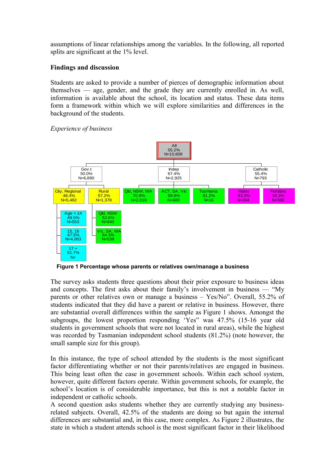assumptions of linear relationships among the variables. In the following, all reported splits are significant at the 1% level.

# **Findings and discussion**

Students are asked to provide a number of pierces of demographic information about themselves — age, gender, and the grade they are currently enrolled in. As well, information is available about the school, its location and status. These data items form a framework within which we will explore similarities and differences in the background of the students.

### *Experience of business*



**Figure 1 Percentage whose parents or relatives own/manage a business**

The survey asks students three questions about their prior exposure to business ideas and concepts. The first asks about their family's involvement in business — "My parents or other relatives own or manage a business – Yes/No". Overall, 55.2% of students indicated that they did have a parent or relative in business. However, there are substantial overall differences within the sample as Figure 1 shows. Amongst the subgroups, the lowest proportion responding 'Yes" was 47.5% (15-16 year old students in government schools that were not located in rural areas), while the highest was recorded by Tasmanian independent school students (81.2%) (note however, the small sample size for this group).

In this instance, the type of school attended by the students is the most significant factor differentiating whether or not their parents/relatives are engaged in business. This being least often the case in government schools. Within each school system, however, quite different factors operate. Within government schools, for example, the school's location is of considerable importance, but this is not a notable factor in independent or catholic schools.

A second question asks students whether they are currently studying any businessrelated subjects. Overall, 42.5% of the students are doing so but again the internal differences are substantial and, in this case, more complex. As Figure 2 illustrates, the state in which a student attends school is the most significant factor in their likelihood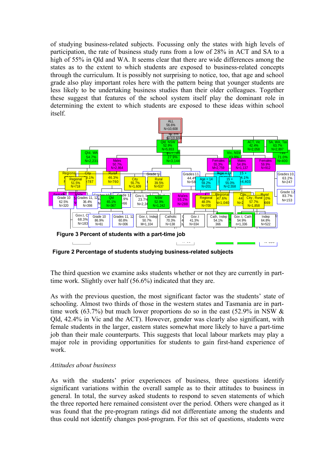of studying business-related subjects. Focussing only the states with high levels of participation, the rate of business study runs from a low of 28% in ACT and SA to a high of 55% in Qld and WA. It seems clear that there are wide differences among the states as to the extent to which students are exposed to business-related concepts through the curriculum. It is possibly not surprising to notice, too, that age and school grade also play important roles here with the pattern being that younger students are less likely to be undertaking business studies than their older colleagues. Together these suggest that features of the school system itself play the dominant role in determining the extent to which students are exposed to these ideas within school itself.



**Figure 2 Percentage of students studying business-related subjects**

The third question we examine asks students whether or not they are currently in parttime work. Slightly over half (56.6%) indicated that they are.

As with the previous question, the most significant factor was the students' state of schooling. Almost two thirds of those in the western states and Tasmania are in parttime work (63.7%) but much lower proportions do so in the east (52.9% in NSW  $\&$ Qld, 42.4% in Vic and the ACT). However, gender was clearly also significant, with female students in the larger, eastern states somewhat more likely to have a part-time job than their male counterparts. This suggests that local labour markets may play a major role in providing opportunities for students to gain first-hand experience of work.

# *Attitudes about business*

As with the students' prior experiences of business, three questions identify significant variations within the overall sample as to their attitudes to business in general. In total, the survey asked students to respond to seven statements of which the three reported here remained consistent over the period. Others were changed as it was found that the pre-program ratings did not differentiate among the students and thus could not identify changes post-program. For this set of questions, students were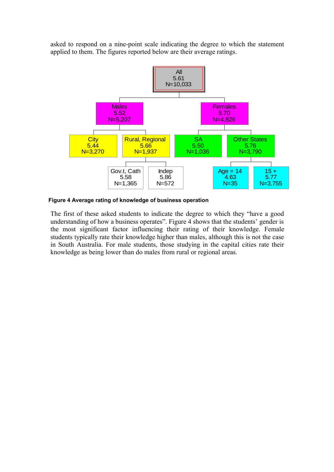asked to respond on a nine-point scale indicating the degree to which the statement applied to them. The figures reported below are their average ratings.



**Figure 4 Average rating of knowledge of business operation**

The first of these asked students to indicate the degree to which they "have a good understanding of how a business operates". Figure 4 shows that the students' gender is the most significant factor influencing their rating of their knowledge. Female students typically rate their knowledge higher than males, although this is not the case in South Australia. For male students, those studying in the capital cities rate their knowledge as being lower than do males from rural or regional areas.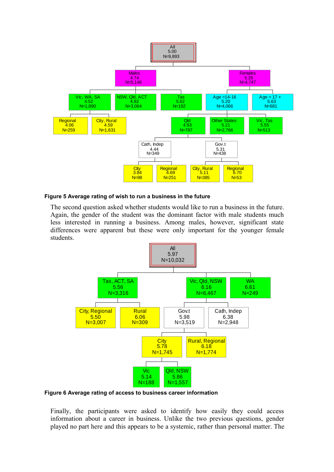

#### **Figure 5 Average rating of wish to run a business in the future**

The second question asked whether students would like to run a business in the future. Again, the gender of the student was the dominant factor with male students much less interested in running a business. Among males, however, significant state differences were apparent but these were only important for the younger female students.



**Figure 6 Average rating of access to business career information**

Finally, the participants were asked to identify how easily they could access information about a career in business. Unlike the two previous questions, gender played no part here and this appears to be a systemic, rather than personal matter. The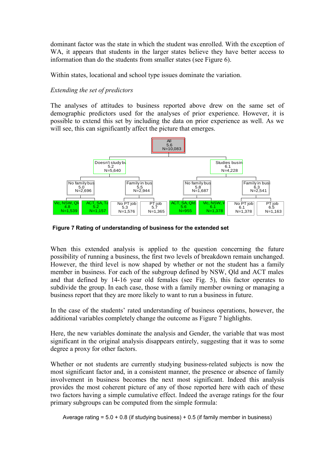dominant factor was the state in which the student was enrolled. With the exception of WA, it appears that students in the larger states believe they have better access to information than do the students from smaller states (see Figure 6).

Within states, locational and school type issues dominate the variation.

# *Extending the set of predictors*

The analyses of attitudes to business reported above drew on the same set of demographic predictors used for the analyses of prior experience. However, it is possible to extend this set by including the data on prior experience as well. As we will see, this can significantly affect the picture that emerges.



**Figure 7 Rating of understanding of business for the extended set**

When this extended analysis is applied to the question concerning the future possibility of running a business, the first two levels of breakdown remain unchanged. However, the third level is now shaped by whether or not the student has a family member in business. For each of the subgroup defined by NSW, Qld and ACT males and that defined by 14-16 year old females (see Fig. 5), this factor operates to subdivide the group. In each case, those with a family member owning or managing a business report that they are more likely to want to run a business in future.

In the case of the students' rated understanding of business operations, however, the additional variables completely change the outcome as Figure 7 highlights.

Here, the new variables dominate the analysis and Gender, the variable that was most significant in the original analysis disappears entirely, suggesting that it was to some degree a proxy for other factors.

Whether or not students are currently studying business-related subjects is now the most significant factor and, in a consistent manner, the presence or absence of family involvement in business becomes the next most significant. Indeed this analysis provides the most coherent picture of any of those reported here with each of these two factors having a simple cumulative effect. Indeed the average ratings for the four primary subgroups can be computed from the simple formula:

Average rating =  $5.0 + 0.8$  (if studying business) + 0.5 (if family member in business)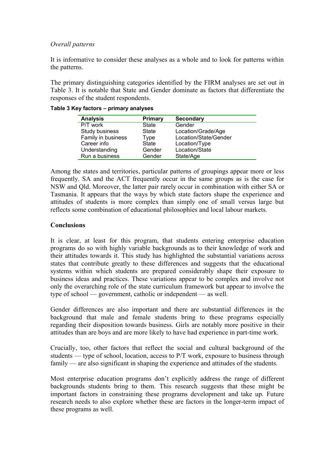### *Overall patterns*

It is informative to consider these analyses as a whole and to look for patterns within the patterns.

The primary distinguishing categories identified by the FIRM analyses are set out in Table 3. It is notable that State and Gender dominate as factors that differentiate the responses of the student respondents.

| <b>Analysis</b>    | <b>Primary</b> | <b>Secondary</b>      |
|--------------------|----------------|-----------------------|
| P/T work           | State          | Gender                |
| Study business     | State          | Location/Grade/Age    |
| Family in business | Type           | Location/State/Gender |
| Career info        | <b>State</b>   | Location/Type         |
| Understanding      | Gender         | Location/State        |
| Run a business     | Gender         | State/Age             |

### **Table 3 Key factors – primary analyses**

Among the states and territories, particular patterns of groupings appear more or less frequently. SA and the ACT frequently occur in the same groups as is the case for NSW and Qld. Moreover, the latter pair rarely occur in combination with either SA or Tasmania. It appears that the ways by which state factors shape the experience and attitudes of students is more complex than simply one of small versus large but reflects some combination of educational philosophies and local labour markets.

### **Conclusions**

It is clear, at least for this program, that students entering enterprise education programs do so with highly variable backgrounds as to their knowledge of work and their attitudes towards it. This study has highlighted the substantial variations across states that contribute greatly to these differences and suggests that the educational systems within which students are prepared considerably shape their exposure to business ideas and practices. These variations appear to be complex and involve not only the overarching role of the state curriculum framework but appear to involve the type of school — government, catholic or independent — as well.

Gender differences are also important and there are substantial differences in the background that male and female students bring to these programs especially regarding their disposition towards business. Girls are notably more positive in their attitudes than are boys and are more likely to have had experience in part-time work.

Crucially, too, other factors that reflect the social and cultural background of the students — type of school, location, access to P/T work, exposure to business through family — are also significant in shaping the experience and attitudes of the students.

Most enterprise education programs don't explicitly address the range of different backgrounds students bring to them. This research suggests that these might be important factors in constraining these programs development and take up. Future research needs to also explore whether these are factors in the longer-term impact of these programs as well.